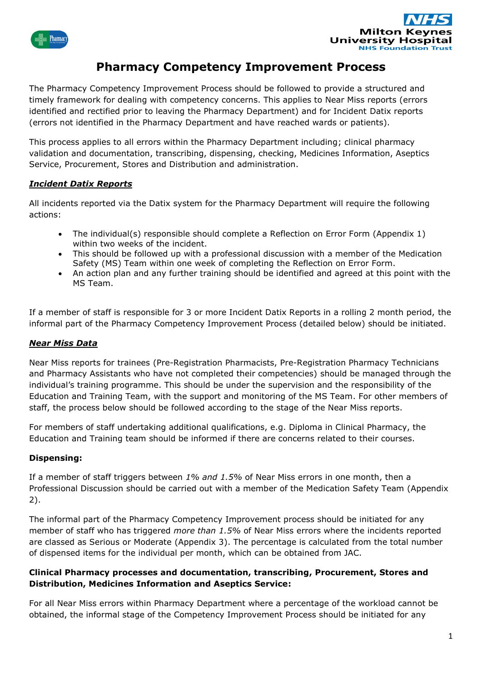



# **Pharmacy Competency Improvement Process**

The Pharmacy Competency Improvement Process should be followed to provide a structured and timely framework for dealing with competency concerns. This applies to Near Miss reports (errors identified and rectified prior to leaving the Pharmacy Department) and for Incident Datix reports (errors not identified in the Pharmacy Department and have reached wards or patients).

This process applies to all errors within the Pharmacy Department including; clinical pharmacy validation and documentation, transcribing, dispensing, checking, Medicines Information, Aseptics Service, Procurement, Stores and Distribution and administration.

# *Incident Datix Reports*

All incidents reported via the Datix system for the Pharmacy Department will require the following actions:

- The individual(s) responsible should complete a Reflection on Error Form (Appendix 1) within two weeks of the incident.
- This should be followed up with a professional discussion with a member of the Medication Safety (MS) Team within one week of completing the Reflection on Error Form.
- An action plan and any further training should be identified and agreed at this point with the MS Team.

If a member of staff is responsible for 3 or more Incident Datix Reports in a rolling 2 month period, the informal part of the Pharmacy Competency Improvement Process (detailed below) should be initiated.

# *Near Miss Data*

Near Miss reports for trainees (Pre-Registration Pharmacists, Pre-Registration Pharmacy Technicians and Pharmacy Assistants who have not completed their competencies) should be managed through the individual's training programme. This should be under the supervision and the responsibility of the Education and Training Team, with the support and monitoring of the MS Team. For other members of staff, the process below should be followed according to the stage of the Near Miss reports.

For members of staff undertaking additional qualifications, e.g. Diploma in Clinical Pharmacy, the Education and Training team should be informed if there are concerns related to their courses.

### **Dispensing:**

If a member of staff triggers between *1% and 1.5%* of Near Miss errors in one month, then a Professional Discussion should be carried out with a member of the Medication Safety Team (Appendix 2).

The informal part of the Pharmacy Competency Improvement process should be initiated for any member of staff who has triggered *more than 1.5%* of Near Miss errors where the incidents reported are classed as Serious or Moderate (Appendix 3). The percentage is calculated from the total number of dispensed items for the individual per month, which can be obtained from JAC.

## **Clinical Pharmacy processes and documentation, transcribing, Procurement, Stores and Distribution, Medicines Information and Aseptics Service:**

For all Near Miss errors within Pharmacy Department where a percentage of the workload cannot be obtained, the informal stage of the Competency Improvement Process should be initiated for any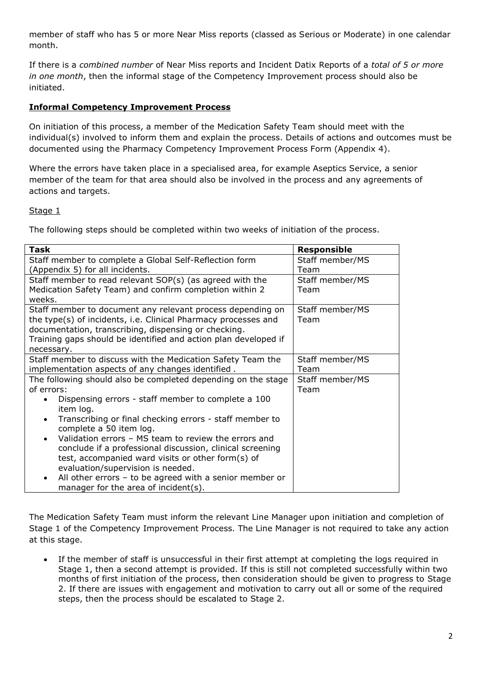member of staff who has 5 or more Near Miss reports (classed as Serious or Moderate) in one calendar month.

If there is a *combined number* of Near Miss reports and Incident Datix Reports of a *total of 5 or more in one month*, then the informal stage of the Competency Improvement process should also be initiated.

## **Informal Competency Improvement Process**

On initiation of this process, a member of the Medication Safety Team should meet with the individual(s) involved to inform them and explain the process. Details of actions and outcomes must be documented using the Pharmacy Competency Improvement Process Form (Appendix 4).

Where the errors have taken place in a specialised area, for example Aseptics Service, a senior member of the team for that area should also be involved in the process and any agreements of actions and targets.

### Stage 1

The following steps should be completed within two weeks of initiation of the process.

| Task                                                                                                             | <b>Responsible</b> |
|------------------------------------------------------------------------------------------------------------------|--------------------|
| Staff member to complete a Global Self-Reflection form                                                           | Staff member/MS    |
| (Appendix 5) for all incidents.                                                                                  | Team               |
| Staff member to read relevant SOP(s) (as agreed with the                                                         | Staff member/MS    |
| Medication Safety Team) and confirm completion within 2                                                          | Team               |
| weeks.                                                                                                           |                    |
| Staff member to document any relevant process depending on                                                       | Staff member/MS    |
| the type(s) of incidents, i.e. Clinical Pharmacy processes and                                                   | Team               |
| documentation, transcribing, dispensing or checking.                                                             |                    |
| Training gaps should be identified and action plan developed if                                                  |                    |
| necessary.                                                                                                       |                    |
| Staff member to discuss with the Medication Safety Team the                                                      | Staff member/MS    |
| implementation aspects of any changes identified.                                                                | Team               |
| The following should also be completed depending on the stage                                                    | Staff member/MS    |
| of errors:                                                                                                       | Team               |
| Dispensing errors - staff member to complete a 100<br>item log.                                                  |                    |
| Transcribing or final checking errors - staff member to<br>٠<br>complete a 50 item log.                          |                    |
| Validation errors - MS team to review the errors and<br>$\bullet$                                                |                    |
| conclude if a professional discussion, clinical screening                                                        |                    |
| test, accompanied ward visits or other form(s) of                                                                |                    |
| evaluation/supervision is needed.                                                                                |                    |
| All other errors - to be agreed with a senior member or<br>$\bullet$<br>manager for the area of incident $(s)$ . |                    |

The Medication Safety Team must inform the relevant Line Manager upon initiation and completion of Stage 1 of the Competency Improvement Process. The Line Manager is not required to take any action at this stage.

If the member of staff is unsuccessful in their first attempt at completing the logs required in Stage 1, then a second attempt is provided. If this is still not completed successfully within two months of first initiation of the process, then consideration should be given to progress to Stage 2. If there are issues with engagement and motivation to carry out all or some of the required steps, then the process should be escalated to Stage 2.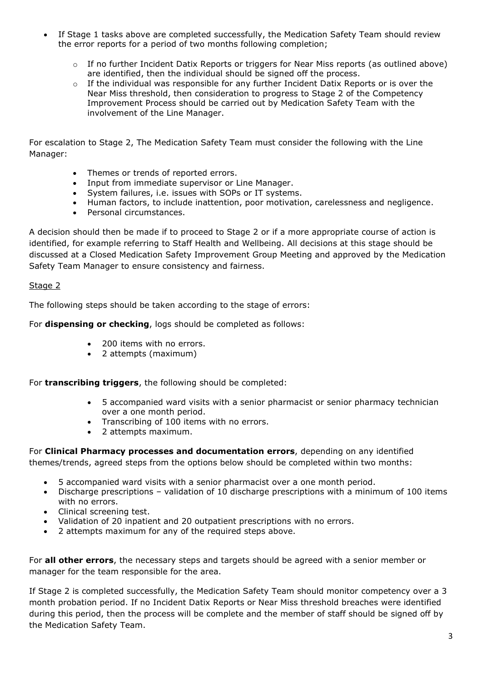- If Stage 1 tasks above are completed successfully, the Medication Safety Team should review the error reports for a period of two months following completion;
	- $\circ$  If no further Incident Datix Reports or triggers for Near Miss reports (as outlined above) are identified, then the individual should be signed off the process.
	- $\circ$  If the individual was responsible for any further Incident Datix Reports or is over the Near Miss threshold, then consideration to progress to Stage 2 of the Competency Improvement Process should be carried out by Medication Safety Team with the involvement of the Line Manager.

For escalation to Stage 2, The Medication Safety Team must consider the following with the Line Manager:

- Themes or trends of reported errors.
- Input from immediate supervisor or Line Manager.
- System failures, i.e. issues with SOPs or IT systems.
- Human factors, to include inattention, poor motivation, carelessness and negligence.
- Personal circumstances.

A decision should then be made if to proceed to Stage 2 or if a more appropriate course of action is identified, for example referring to Staff Health and Wellbeing. All decisions at this stage should be discussed at a Closed Medication Safety Improvement Group Meeting and approved by the Medication Safety Team Manager to ensure consistency and fairness.

### Stage 2

The following steps should be taken according to the stage of errors:

For **dispensing or checking**, logs should be completed as follows:

- 200 items with no errors.
- 2 attempts (maximum)

For **transcribing triggers**, the following should be completed:

- 5 accompanied ward visits with a senior pharmacist or senior pharmacy technician over a one month period.
- Transcribing of 100 items with no errors.
- 2 attempts maximum.

For **Clinical Pharmacy processes and documentation errors**, depending on any identified themes/trends, agreed steps from the options below should be completed within two months:

- 5 accompanied ward visits with a senior pharmacist over a one month period.
- Discharge prescriptions validation of 10 discharge prescriptions with a minimum of 100 items with no errors.
- Clinical screening test.
- Validation of 20 inpatient and 20 outpatient prescriptions with no errors.
- 2 attempts maximum for any of the required steps above.

For **all other errors**, the necessary steps and targets should be agreed with a senior member or manager for the team responsible for the area.

If Stage 2 is completed successfully, the Medication Safety Team should monitor competency over a 3 month probation period. If no Incident Datix Reports or Near Miss threshold breaches were identified during this period, then the process will be complete and the member of staff should be signed off by the Medication Safety Team.